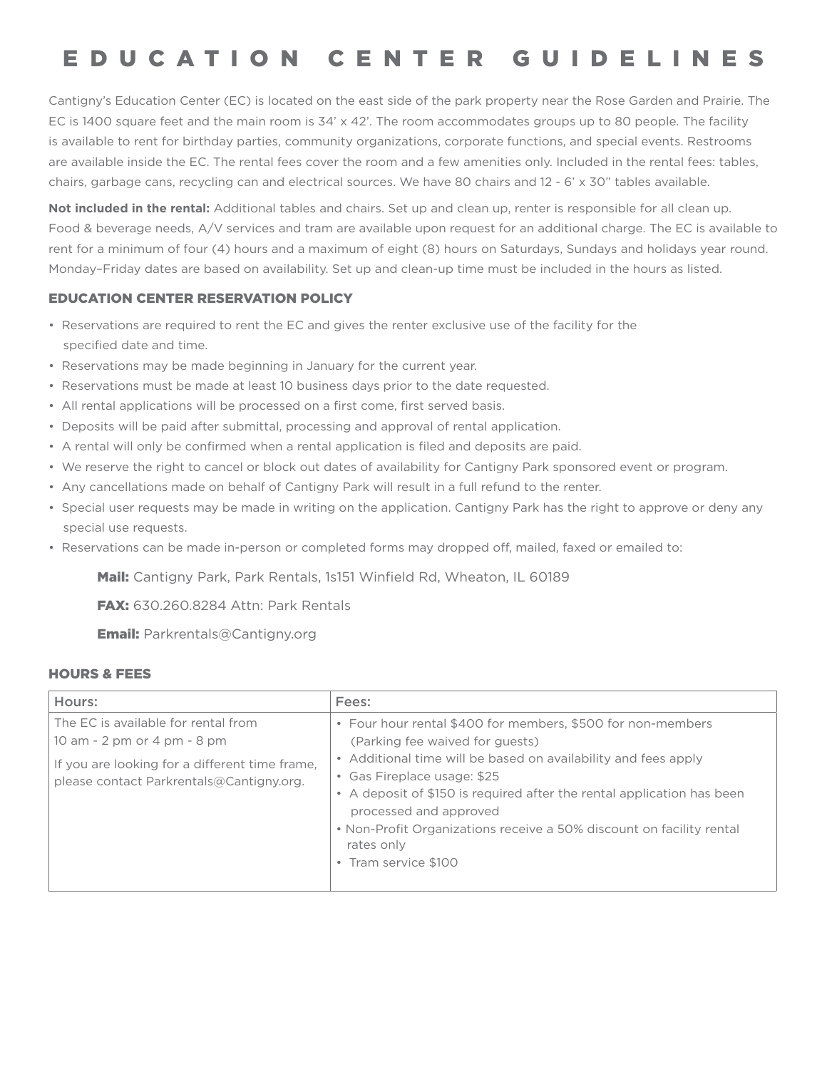# EDUCATION CENTER GUIDELINES

Cantigny's Education Center (EC) is located on the east side of the park property near the Rose Garden and Prairie. The EC is 1400 square feet and the main room is 34' x 42'. The room accommodates groups up to 80 people. The facility is available to rent for birthday parties, community organizations, corporate functions, and special events. Restrooms are available inside the EC. The rental fees cover the room and a few amenities only. Included in the rental fees: tables, chairs, garbage cans, recycling can and electrical sources. We have 80 chairs and 12 - 6' x 30" tables available.

**Not included in the rental:** Additional tables and chairs. Set up and clean up, renter is responsible for all clean up. Food & beverage needs, A/V services and tram are available upon request for an additional charge. The EC is available to rent for a minimum of four (4) hours and a maximum of eight (8) hours on Saturdays, Sundays and holidays year round. Monday–Friday dates are based on availability. Set up and clean-up time must be included in the hours as listed.

# EDUCATION CENTER RESERVATION POLICY

- Reservations are required to rent the EC and gives the renter exclusive use of the facility for the specified date and time.
- Reservations may be made beginning in January for the current year.
- Reservations must be made at least 10 business days prior to the date requested.
- All rental applications will be processed on a first come, first served basis.
- Deposits will be paid after submittal, processing and approval of rental application.
- A rental will only be confirmed when a rental application is filed and deposits are paid.
- We reserve the right to cancel or block out dates of availability for Cantigny Park sponsored event or program.
- Any cancellations made on behalf of Cantigny Park will result in a full refund to the renter.
- Special user requests may be made in writing on the application. Cantigny Park has the right to approve or deny any special use requests.
- Reservations can be made in-person or completed forms may dropped off, mailed, faxed or emailed to:

Mail: Cantigny Park, Park Rentals, 1s151 Winfield Rd, Wheaton, IL 60189

**FAX: 630.260.8284 Attn: Park Rentals** 

Email: Parkrentals@Cantigny.org

#### HOURS & FEES

| Hours:                                                                                                                                                           | Fees:                                                                                                                                                                                                                                                                                                                                                                                                             |
|------------------------------------------------------------------------------------------------------------------------------------------------------------------|-------------------------------------------------------------------------------------------------------------------------------------------------------------------------------------------------------------------------------------------------------------------------------------------------------------------------------------------------------------------------------------------------------------------|
| The EC is available for rental from<br>10 am - 2 pm or 4 pm - 8 pm<br>If you are looking for a different time frame,<br>please contact Parkrentals@Cantigny.org. | • Four hour rental \$400 for members, \$500 for non-members<br>(Parking fee waived for guests)<br>• Additional time will be based on availability and fees apply<br>• Gas Fireplace usage: \$25<br>• A deposit of \$150 is required after the rental application has been<br>processed and approved<br>• Non-Profit Organizations receive a 50% discount on facility rental<br>rates only<br>• Tram service \$100 |